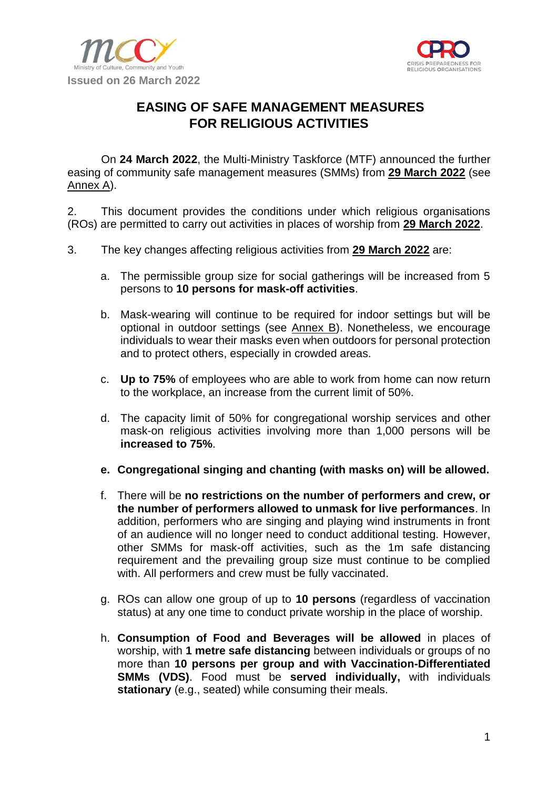



# **EASING OF SAFE MANAGEMENT MEASURES FOR RELIGIOUS ACTIVITIES**

On **24 March 2022**, the Multi-Ministry Taskforce (MTF) announced the further easing of community safe management measures (SMMs) from **29 March 2022** (see Annex A).

2. This document provides the conditions under which religious organisations (ROs) are permitted to carry out activities in places of worship from **29 March 2022**.

- 3. The key changes affecting religious activities from **29 March 2022** are:
	- a. The permissible group size for social gatherings will be increased from 5 persons to **10 persons for mask-off activities**.
	- b. Mask-wearing will continue to be required for indoor settings but will be optional in outdoor settings (see Annex B). Nonetheless, we encourage individuals to wear their masks even when outdoors for personal protection and to protect others, especially in crowded areas.
	- c. **Up to 75%** of employees who are able to work from home can now return to the workplace, an increase from the current limit of 50%.
	- d. The capacity limit of 50% for congregational worship services and other mask-on religious activities involving more than 1,000 persons will be **increased to 75%**.
	- **e. Congregational singing and chanting (with masks on) will be allowed.**
	- f. There will be **no restrictions on the number of performers and crew, or the number of performers allowed to unmask for live performances**. In addition, performers who are singing and playing wind instruments in front of an audience will no longer need to conduct additional testing. However, other SMMs for mask-off activities, such as the 1m safe distancing requirement and the prevailing group size must continue to be complied with. All performers and crew must be fully vaccinated.
	- g. ROs can allow one group of up to **10 persons** (regardless of vaccination status) at any one time to conduct private worship in the place of worship.
	- h. **Consumption of Food and Beverages will be allowed** in places of worship, with **1 metre safe distancing** between individuals or groups of no more than **10 persons per group and with Vaccination-Differentiated SMMs (VDS)**. Food must be **served individually,** with individuals **stationary** (e.g., seated) while consuming their meals.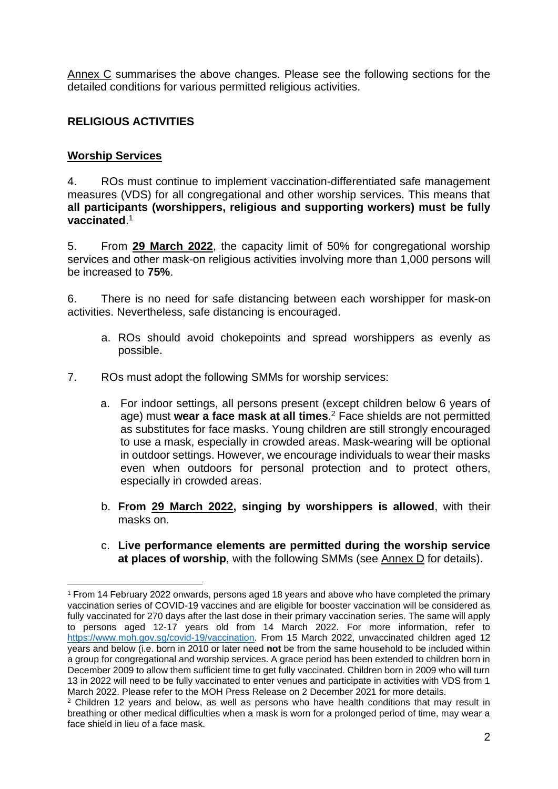Annex C summarises the above changes. Please see the following sections for the detailed conditions for various permitted religious activities.

## **RELIGIOUS ACTIVITIES**

#### **Worship Services**

4. ROs must continue to implement vaccination-differentiated safe management measures (VDS) for all congregational and other worship services. This means that **all participants (worshippers, religious and supporting workers) must be fully vaccinated**. 1

5. From **29 March 2022**, the capacity limit of 50% for congregational worship services and other mask-on religious activities involving more than 1,000 persons will be increased to **75%**.

6. There is no need for safe distancing between each worshipper for mask-on activities. Nevertheless, safe distancing is encouraged.

- a. ROs should avoid chokepoints and spread worshippers as evenly as possible.
- 7. ROs must adopt the following SMMs for worship services:
	- a. For indoor settings, all persons present (except children below 6 years of age) must **wear a face mask at all times**. <sup>2</sup> Face shields are not permitted as substitutes for face masks. Young children are still strongly encouraged to use a mask, especially in crowded areas. Mask-wearing will be optional in outdoor settings. However, we encourage individuals to wear their masks even when outdoors for personal protection and to protect others, especially in crowded areas.
	- b. **From 29 March 2022, singing by worshippers is allowed**, with their masks on.
	- c. **Live performance elements are permitted during the worship service at places of worship**, with the following SMMs (see Annex D for details).

<sup>1</sup> From 14 February 2022 onwards, persons aged 18 years and above who have completed the primary vaccination series of COVID-19 vaccines and are eligible for booster vaccination will be considered as fully vaccinated for 270 days after the last dose in their primary vaccination series. The same will apply to persons aged 12-17 years old from 14 March 2022. For more information, refer to [https://www.moh.gov.sg/covid-19/vaccination.](https://www.moh.gov.sg/covid-19/vaccination) From 15 March 2022, unvaccinated children aged 12 years and below (i.e. born in 2010 or later need **not** be from the same household to be included within a group for congregational and worship services. A grace period has been extended to children born in December 2009 to allow them sufficient time to get fully vaccinated. Children born in 2009 who will turn 13 in 2022 will need to be fully vaccinated to enter venues and participate in activities with VDS from 1 March 2022. Please refer to the MOH Press Release on 2 December 2021 for more details.

 $2$  Children 12 years and below, as well as persons who have health conditions that may result in breathing or other medical difficulties when a mask is worn for a prolonged period of time, may wear a face shield in lieu of a face mask.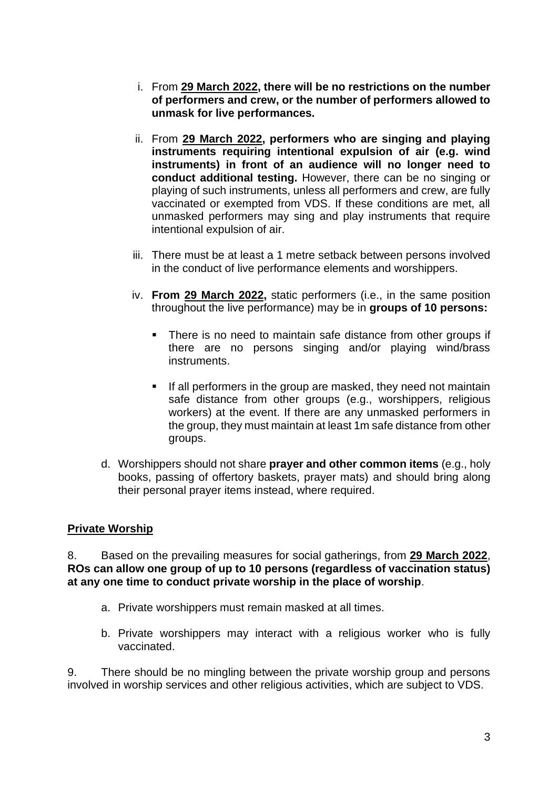- i. From **29 March 2022, there will be no restrictions on the number of performers and crew, or the number of performers allowed to unmask for live performances.**
- ii. From **29 March 2022, performers who are singing and playing instruments requiring intentional expulsion of air (e.g. wind instruments) in front of an audience will no longer need to conduct additional testing.** However, there can be no singing or playing of such instruments, unless all performers and crew, are fully vaccinated or exempted from VDS. If these conditions are met, all unmasked performers may sing and play instruments that require intentional expulsion of air.
- iii. There must be at least a 1 metre setback between persons involved in the conduct of live performance elements and worshippers.
- iv. **From 29 March 2022,** static performers (i.e., in the same position throughout the live performance) may be in **groups of 10 persons:**
	- There is no need to maintain safe distance from other groups if there are no persons singing and/or playing wind/brass instruments.
	- If all performers in the group are masked, they need not maintain safe distance from other groups (e.g., worshippers, religious workers) at the event. If there are any unmasked performers in the group, they must maintain at least 1m safe distance from other groups.
- d. Worshippers should not share **prayer and other common items** (e.g., holy books, passing of offertory baskets, prayer mats) and should bring along their personal prayer items instead, where required.

### **Private Worship**

8. Based on the prevailing measures for social gatherings, from **29 March 2022**, **ROs can allow one group of up to 10 persons (regardless of vaccination status) at any one time to conduct private worship in the place of worship**.

- a. Private worshippers must remain masked at all times.
- b. Private worshippers may interact with a religious worker who is fully vaccinated.

9. There should be no mingling between the private worship group and persons involved in worship services and other religious activities, which are subject to VDS.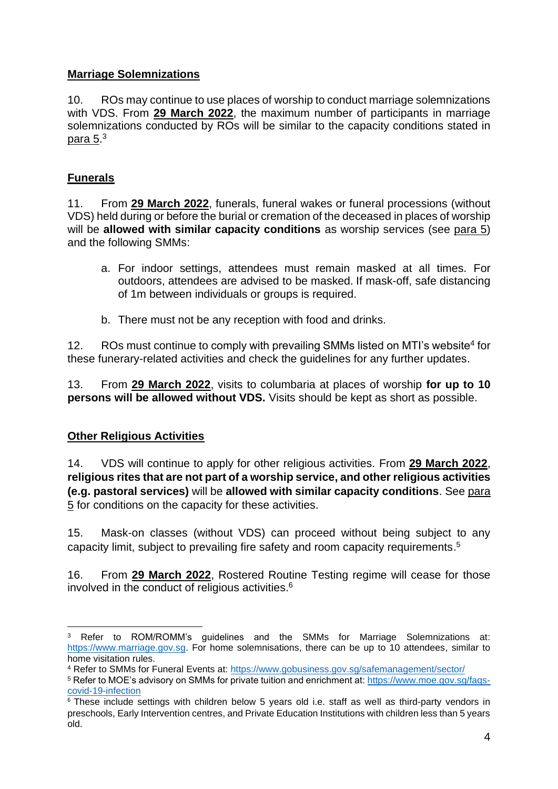## **Marriage Solemnizations**

10. ROs may continue to use places of worship to conduct marriage solemnizations with VDS. From **29 March 2022**, the maximum number of participants in marriage solemnizations conducted by ROs will be similar to the capacity conditions stated in <u>para 5</u>.<sup>3</sup>

# **Funerals**

11. From **29 March 2022**, funerals, funeral wakes or funeral processions (without VDS) held during or before the burial or cremation of the deceased in places of worship will be **allowed with similar capacity conditions** as worship services (see para 5) and the following SMMs:

- a. For indoor settings, attendees must remain masked at all times. For outdoors, attendees are advised to be masked. If mask-off, safe distancing of 1m between individuals or groups is required.
- b. There must not be any reception with food and drinks.

12. ROs must continue to comply with prevailing SMMs listed on MTI's website<sup>4</sup> for these funerary-related activities and check the guidelines for any further updates.

13. From **29 March 2022**, visits to columbaria at places of worship **for up to 10 persons will be allowed without VDS.** Visits should be kept as short as possible.

# **Other Religious Activities**

14. VDS will continue to apply for other religious activities. From **29 March 2022**, **religious rites that are not part of a worship service, and other religious activities (e.g. pastoral services)** will be **allowed with similar capacity conditions**. See para 5 for conditions on the capacity for these activities.

15. Mask-on classes (without VDS) can proceed without being subject to any capacity limit, subject to prevailing fire safety and room capacity requirements. 5

16. From **29 March 2022**, Rostered Routine Testing regime will cease for those involved in the conduct of religious activities. 6

Refer to ROM/ROMM's guidelines and the SMMs for Marriage Solemnizations at: [https://www.marriage.gov.sg.](https://www.marriage.gov.sg/) For home solemnisations, there can be up to 10 attendees, similar to home visitation rules.

<sup>4</sup> Refer to SMMs for Funeral Events at:<https://www.gobusiness.gov.sg/safemanagement/sector/>

<sup>5</sup> Refer to MOE's advisory on SMMs for private tuition and enrichment at: [https://www.moe.gov.sg/faqs](https://www.moe.gov.sg/faqs-covid-19-infection)[covid-19-infection](https://www.moe.gov.sg/faqs-covid-19-infection)

 $6$  These include settings with children below 5 years old i.e. staff as well as third-party vendors in preschools, Early Intervention centres, and Private Education Institutions with children less than 5 years old.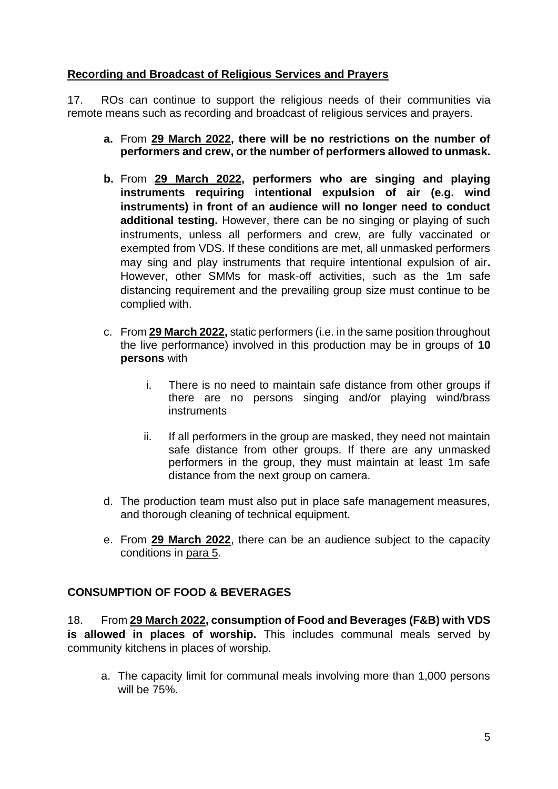#### **Recording and Broadcast of Religious Services and Prayers**

17. ROs can continue to support the religious needs of their communities via remote means such as recording and broadcast of religious services and prayers.

- **a.** From **29 March 2022, there will be no restrictions on the number of performers and crew, or the number of performers allowed to unmask.**
- **b.** From **29 March 2022, performers who are singing and playing instruments requiring intentional expulsion of air (e.g. wind instruments) in front of an audience will no longer need to conduct additional testing.** However, there can be no singing or playing of such instruments, unless all performers and crew, are fully vaccinated or exempted from VDS. If these conditions are met, all unmasked performers may sing and play instruments that require intentional expulsion of air**.** However, other SMMs for mask-off activities, such as the 1m safe distancing requirement and the prevailing group size must continue to be complied with.
- c. From **29 March 2022,** static performers (i.e. in the same position throughout the live performance) involved in this production may be in groups of **10 persons** with
	- i. There is no need to maintain safe distance from other groups if there are no persons singing and/or playing wind/brass instruments
	- ii. If all performers in the group are masked, they need not maintain safe distance from other groups. If there are any unmasked performers in the group, they must maintain at least 1m safe distance from the next group on camera.
- d. The production team must also put in place safe management measures, and thorough cleaning of technical equipment.
- e. From **29 March 2022**, there can be an audience subject to the capacity conditions in para 5.

### **CONSUMPTION OF FOOD & BEVERAGES**

18. From **29 March 2022, consumption of Food and Beverages (F&B) with VDS is allowed in places of worship.** This includes communal meals served by community kitchens in places of worship.

a. The capacity limit for communal meals involving more than 1,000 persons will be 75%.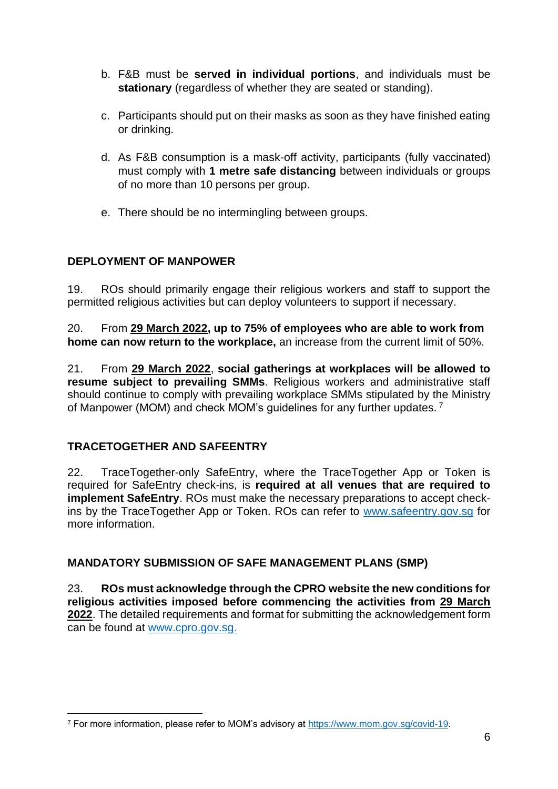- b. F&B must be **served in individual portions**, and individuals must be **stationary** (regardless of whether they are seated or standing).
- c. Participants should put on their masks as soon as they have finished eating or drinking.
- d. As F&B consumption is a mask-off activity, participants (fully vaccinated) must comply with **1 metre safe distancing** between individuals or groups of no more than 10 persons per group.
- e. There should be no intermingling between groups.

# **DEPLOYMENT OF MANPOWER**

19. ROs should primarily engage their religious workers and staff to support the permitted religious activities but can deploy volunteers to support if necessary.

20. From **29 March 2022, up to 75% of employees who are able to work from home can now return to the workplace,** an increase from the current limit of 50%.

21. From **29 March 2022**, **social gatherings at workplaces will be allowed to resume subject to prevailing SMMs**. Religious workers and administrative staff should continue to comply with prevailing workplace SMMs stipulated by the Ministry of Manpower (MOM) and check MOM's guidelines for any further updates. <sup>7</sup>

# **TRACETOGETHER AND SAFEENTRY**

22. TraceTogether-only SafeEntry, where the TraceTogether App or Token is required for SafeEntry check-ins, is **required at all venues that are required to implement SafeEntry**. ROs must make the necessary preparations to accept checkins by the TraceTogether App or Token. ROs can refer to [www.safeentry.gov.sg](http://www.safeentry.gov.sg/) for more information.

### **MANDATORY SUBMISSION OF SAFE MANAGEMENT PLANS (SMP)**

23. **ROs must acknowledge through the CPRO website the new conditions for religious activities imposed before commencing the activities from 29 March 2022**. The detailed requirements and format for submitting the acknowledgement form can be found at [www.cpro.gov.sg.](http://www.cpro.gov.sg/)

<sup>7</sup> For more information, please refer to MOM's advisory at [https://www.mom.gov.sg/covid-19.](https://www.mom.gov.sg/covid-19)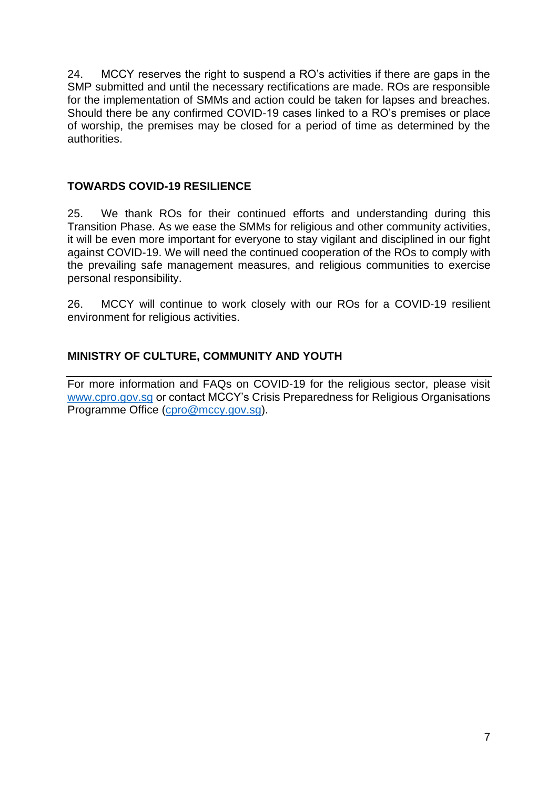24. MCCY reserves the right to suspend a RO's activities if there are gaps in the SMP submitted and until the necessary rectifications are made. ROs are responsible for the implementation of SMMs and action could be taken for lapses and breaches. Should there be any confirmed COVID-19 cases linked to a RO's premises or place of worship, the premises may be closed for a period of time as determined by the authorities.

### **TOWARDS COVID-19 RESILIENCE**

25. We thank ROs for their continued efforts and understanding during this Transition Phase. As we ease the SMMs for religious and other community activities, it will be even more important for everyone to stay vigilant and disciplined in our fight against COVID-19. We will need the continued cooperation of the ROs to comply with the prevailing safe management measures, and religious communities to exercise personal responsibility.

26. MCCY will continue to work closely with our ROs for a COVID-19 resilient environment for religious activities.

## **MINISTRY OF CULTURE, COMMUNITY AND YOUTH**

For more information and FAQs on COVID-19 for the religious sector, please visit [www.cpro.gov.sg](http://www.cpro.gov.sg/) or contact MCCY's Crisis Preparedness for Religious Organisations Programme Office [\(cpro@mccy.gov.sg\)](mailto:cpro@mccy.gov.sg).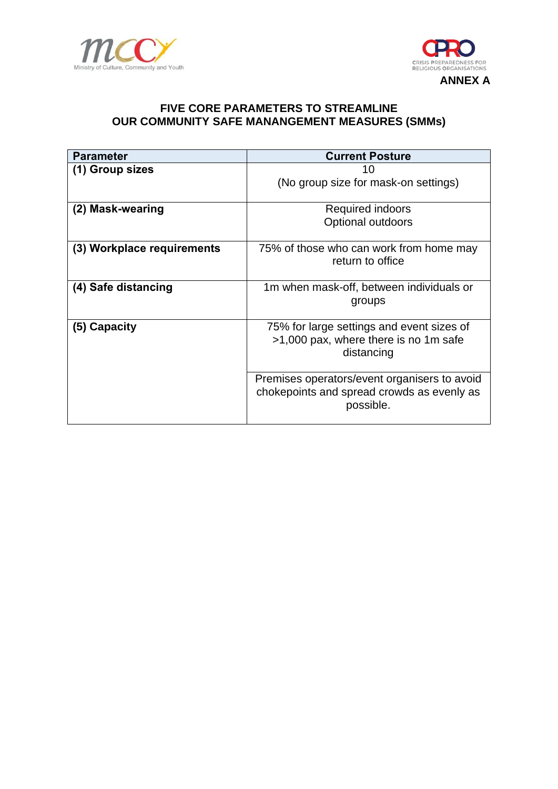



#### **FIVE CORE PARAMETERS TO STREAMLINE OUR COMMUNITY SAFE MANANGEMENT MEASURES (SMMs)**

| <b>Parameter</b>           | <b>Current Posture</b>                                                             |
|----------------------------|------------------------------------------------------------------------------------|
| (1) Group sizes            | 10                                                                                 |
|                            | (No group size for mask-on settings)                                               |
|                            |                                                                                    |
| (2) Mask-wearing           | Required indoors                                                                   |
|                            | Optional outdoors                                                                  |
|                            |                                                                                    |
| (3) Workplace requirements | 75% of those who can work from home may                                            |
|                            | return to office                                                                   |
|                            |                                                                                    |
| (4) Safe distancing        | 1m when mask-off, between individuals or                                           |
|                            | groups                                                                             |
|                            |                                                                                    |
| (5) Capacity               | 75% for large settings and event sizes of<br>>1,000 pax, where there is no 1m safe |
|                            | distancing                                                                         |
|                            |                                                                                    |
|                            | Premises operators/event organisers to avoid                                       |
|                            | chokepoints and spread crowds as evenly as                                         |
|                            | possible.                                                                          |
|                            |                                                                                    |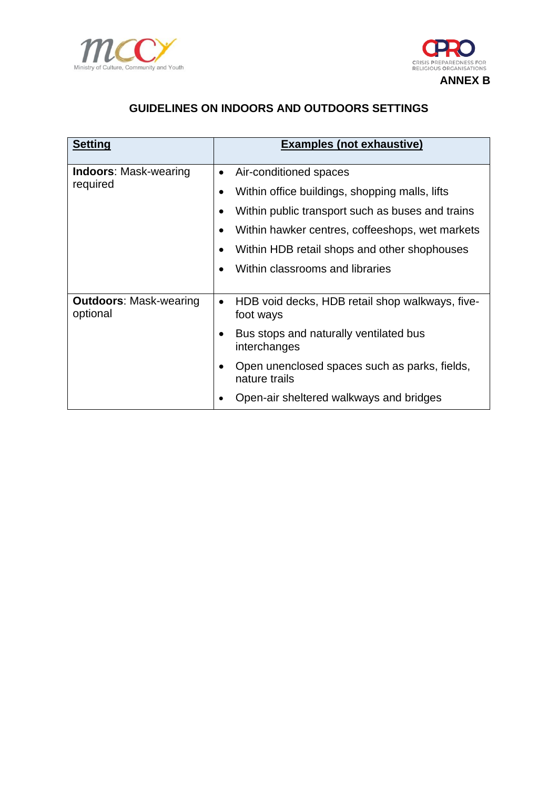



# **GUIDELINES ON INDOORS AND OUTDOORS SETTINGS**

| <b>Setting</b>                            | <b>Examples (not exhaustive)</b>                                          |
|-------------------------------------------|---------------------------------------------------------------------------|
| <b>Indoors: Mask-wearing</b><br>required  | Air-conditioned spaces<br>$\bullet$                                       |
|                                           | Within office buildings, shopping malls, lifts                            |
|                                           | Within public transport such as buses and trains                          |
|                                           | Within hawker centres, coffeeshops, wet markets                           |
|                                           | Within HDB retail shops and other shophouses                              |
|                                           | Within classrooms and libraries                                           |
|                                           |                                                                           |
| <b>Outdoors: Mask-wearing</b><br>optional | HDB void decks, HDB retail shop walkways, five-<br>$\bullet$<br>foot ways |
|                                           | Bus stops and naturally ventilated bus<br>interchanges                    |
|                                           | Open unenclosed spaces such as parks, fields,<br>nature trails            |
|                                           | Open-air sheltered walkways and bridges                                   |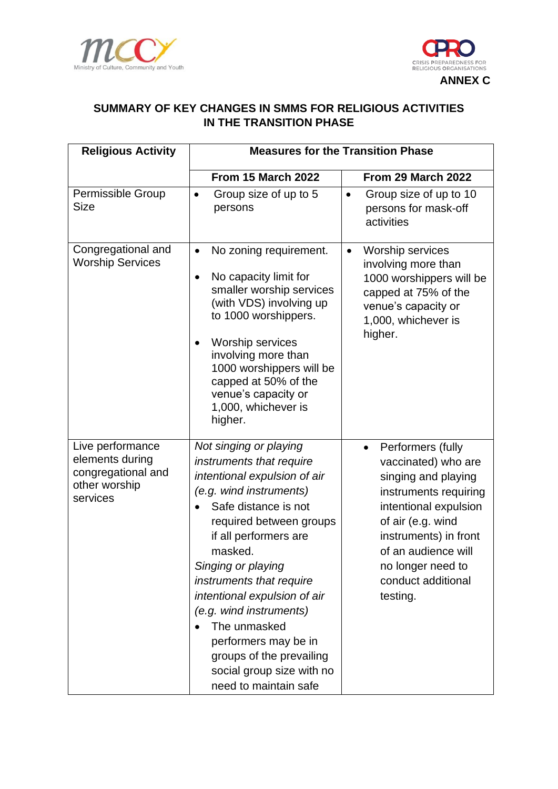



### **SUMMARY OF KEY CHANGES IN SMMS FOR RELIGIOUS ACTIVITIES IN THE TRANSITION PHASE**

| <b>Religious Activity</b>                                                              | <b>Measures for the Transition Phase</b>                                                                                                                                                                                                                                                                                                                                                                                                    |                                                                                                                                                                                                                                                            |  |
|----------------------------------------------------------------------------------------|---------------------------------------------------------------------------------------------------------------------------------------------------------------------------------------------------------------------------------------------------------------------------------------------------------------------------------------------------------------------------------------------------------------------------------------------|------------------------------------------------------------------------------------------------------------------------------------------------------------------------------------------------------------------------------------------------------------|--|
|                                                                                        | <b>From 15 March 2022</b>                                                                                                                                                                                                                                                                                                                                                                                                                   | From 29 March 2022                                                                                                                                                                                                                                         |  |
| Permissible Group<br><b>Size</b>                                                       | Group size of up to 5<br>$\bullet$<br>persons                                                                                                                                                                                                                                                                                                                                                                                               | Group size of up to 10<br>$\bullet$<br>persons for mask-off<br>activities                                                                                                                                                                                  |  |
| Congregational and<br><b>Worship Services</b>                                          | No zoning requirement.<br>No capacity limit for<br>$\bullet$<br>smaller worship services<br>(with VDS) involving up<br>to 1000 worshippers.<br><b>Worship services</b><br>involving more than<br>1000 worshippers will be<br>capped at 50% of the<br>venue's capacity or<br>1,000, whichever is<br>higher.                                                                                                                                  | <b>Worship services</b><br>$\bullet$<br>involving more than<br>1000 worshippers will be<br>capped at 75% of the<br>venue's capacity or<br>1,000, whichever is<br>higher.                                                                                   |  |
| Live performance<br>elements during<br>congregational and<br>other worship<br>services | Not singing or playing<br>instruments that require<br>intentional expulsion of air<br>(e.g. wind instruments)<br>Safe distance is not<br>required between groups<br>if all performers are<br>masked.<br>Singing or playing<br>instruments that require<br>intentional expulsion of air<br>(e.g. wind instruments)<br>The unmasked<br>performers may be in<br>groups of the prevailing<br>social group size with no<br>need to maintain safe | Performers (fully<br>$\bullet$<br>vaccinated) who are<br>singing and playing<br>instruments requiring<br>intentional expulsion<br>of air (e.g. wind<br>instruments) in front<br>of an audience will<br>no longer need to<br>conduct additional<br>testing. |  |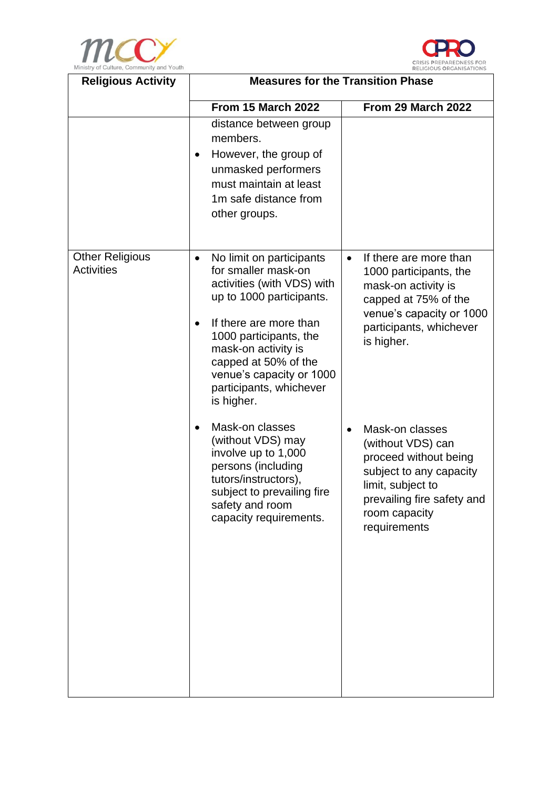



| <b>Religious Activity</b>                   | <b>Measures for the Transition Phase</b>                                                                                                                                                                                                                                                       |                                                                                                                                                                                           |  |
|---------------------------------------------|------------------------------------------------------------------------------------------------------------------------------------------------------------------------------------------------------------------------------------------------------------------------------------------------|-------------------------------------------------------------------------------------------------------------------------------------------------------------------------------------------|--|
|                                             | <b>From 15 March 2022</b>                                                                                                                                                                                                                                                                      | From 29 March 2022                                                                                                                                                                        |  |
|                                             | distance between group<br>members.<br>However, the group of<br>$\bullet$<br>unmasked performers<br>must maintain at least<br>1m safe distance from<br>other groups.                                                                                                                            |                                                                                                                                                                                           |  |
| <b>Other Religious</b><br><b>Activities</b> | No limit on participants<br>$\bullet$<br>for smaller mask-on<br>activities (with VDS) with<br>up to 1000 participants.<br>If there are more than<br>1000 participants, the<br>mask-on activity is<br>capped at 50% of the<br>venue's capacity or 1000<br>participants, whichever<br>is higher. | If there are more than<br>$\bullet$<br>1000 participants, the<br>mask-on activity is<br>capped at 75% of the<br>venue's capacity or 1000<br>participants, whichever<br>is higher.         |  |
|                                             | Mask-on classes<br>(without VDS) may<br>involve up to 1,000<br>persons (including<br>tutors/instructors),<br>subject to prevailing fire<br>safety and room<br>capacity requirements.                                                                                                           | Mask-on classes<br>$\bullet$<br>(without VDS) can<br>proceed without being<br>subject to any capacity<br>limit, subject to<br>prevailing fire safety and<br>room capacity<br>requirements |  |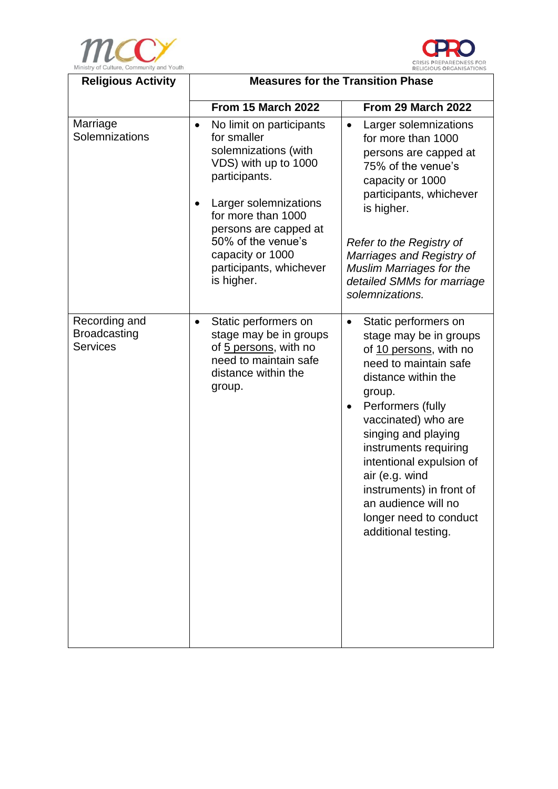



| Ministry of Culture, Community and Touth<br><b>Religious Activity</b> | <b>RELIGIOUS ORGANISATIONS</b><br><b>Measures for the Transition Phase</b>                                                                                                                                                                                                       |                                                                                                                                                                                                                                                                                                                                                                                               |  |
|-----------------------------------------------------------------------|----------------------------------------------------------------------------------------------------------------------------------------------------------------------------------------------------------------------------------------------------------------------------------|-----------------------------------------------------------------------------------------------------------------------------------------------------------------------------------------------------------------------------------------------------------------------------------------------------------------------------------------------------------------------------------------------|--|
|                                                                       | <b>From 15 March 2022</b>                                                                                                                                                                                                                                                        | From 29 March 2022                                                                                                                                                                                                                                                                                                                                                                            |  |
| Marriage<br>Solemnizations                                            | No limit on participants<br>$\bullet$<br>for smaller<br>solemnizations (with<br>VDS) with up to 1000<br>participants.<br>Larger solemnizations<br>for more than 1000<br>persons are capped at<br>50% of the venue's<br>capacity or 1000<br>participants, whichever<br>is higher. | Larger solemnizations<br>$\bullet$<br>for more than 1000<br>persons are capped at<br>75% of the venue's<br>capacity or 1000<br>participants, whichever<br>is higher.<br>Refer to the Registry of<br>Marriages and Registry of<br><b>Muslim Marriages for the</b><br>detailed SMMs for marriage<br>solemnizations.                                                                             |  |
| Recording and<br><b>Broadcasting</b><br><b>Services</b>               | Static performers on<br>$\bullet$<br>stage may be in groups<br>of 5 persons, with no<br>need to maintain safe<br>distance within the<br>group.                                                                                                                                   | Static performers on<br>$\bullet$<br>stage may be in groups<br>of 10 persons, with no<br>need to maintain safe<br>distance within the<br>group.<br>Performers (fully<br>vaccinated) who are<br>singing and playing<br>instruments requiring<br>intentional expulsion of<br>air (e.g. wind<br>instruments) in front of<br>an audience will no<br>longer need to conduct<br>additional testing. |  |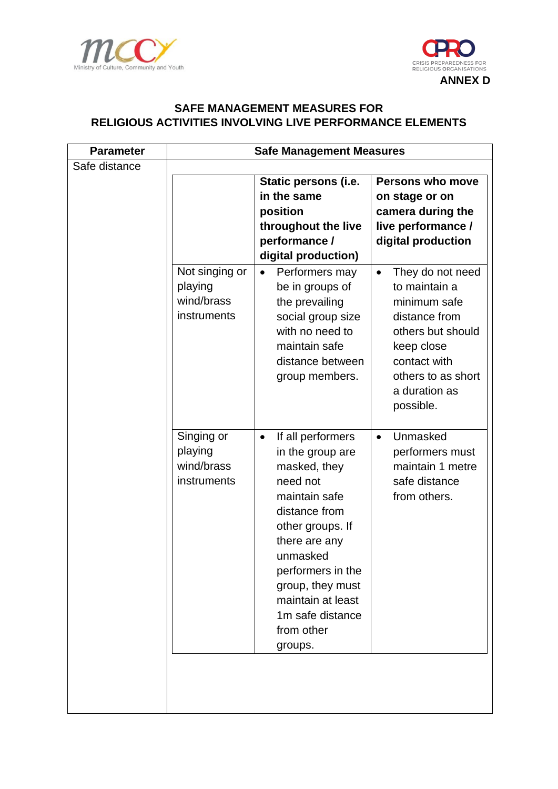



### **SAFE MANAGEMENT MEASURES FOR RELIGIOUS ACTIVITIES INVOLVING LIVE PERFORMANCE ELEMENTS**

| <b>Parameter</b> | <b>Safe Management Measures</b> |                                                    |                               |
|------------------|---------------------------------|----------------------------------------------------|-------------------------------|
| Safe distance    |                                 |                                                    |                               |
|                  |                                 | Static persons (i.e.                               | Persons who move              |
|                  |                                 | in the same                                        | on stage or on                |
|                  |                                 | position                                           | camera during the             |
|                  |                                 | throughout the live                                | live performance /            |
|                  |                                 | performance /                                      | digital production            |
|                  |                                 | digital production)                                |                               |
|                  | Not singing or                  | Performers may<br>$\bullet$                        | They do not need<br>$\bullet$ |
|                  | playing                         | be in groups of                                    | to maintain a                 |
|                  | wind/brass                      | the prevailing                                     | minimum safe                  |
|                  | instruments                     | social group size                                  | distance from                 |
|                  |                                 | with no need to                                    | others but should             |
|                  |                                 | maintain safe                                      | keep close                    |
|                  |                                 | distance between                                   | contact with                  |
|                  |                                 | group members.                                     | others to as short            |
|                  |                                 |                                                    | a duration as                 |
|                  |                                 |                                                    | possible.                     |
|                  | Singing or                      |                                                    | Unmasked                      |
|                  | playing                         | If all performers<br>$\bullet$<br>in the group are | $\bullet$<br>performers must  |
|                  | wind/brass                      | masked, they                                       | maintain 1 metre              |
|                  | instruments                     | need not                                           | safe distance                 |
|                  |                                 | maintain safe                                      | from others.                  |
|                  |                                 | distance from                                      |                               |
|                  |                                 | other groups. If                                   |                               |
|                  |                                 | there are any                                      |                               |
|                  |                                 | unmasked                                           |                               |
|                  |                                 | performers in the                                  |                               |
|                  |                                 | group, they must                                   |                               |
|                  |                                 | maintain at least                                  |                               |
|                  |                                 | 1m safe distance                                   |                               |
|                  |                                 | from other                                         |                               |
|                  |                                 | groups.                                            |                               |
|                  |                                 |                                                    |                               |
|                  |                                 |                                                    |                               |
|                  |                                 |                                                    |                               |
|                  |                                 |                                                    |                               |